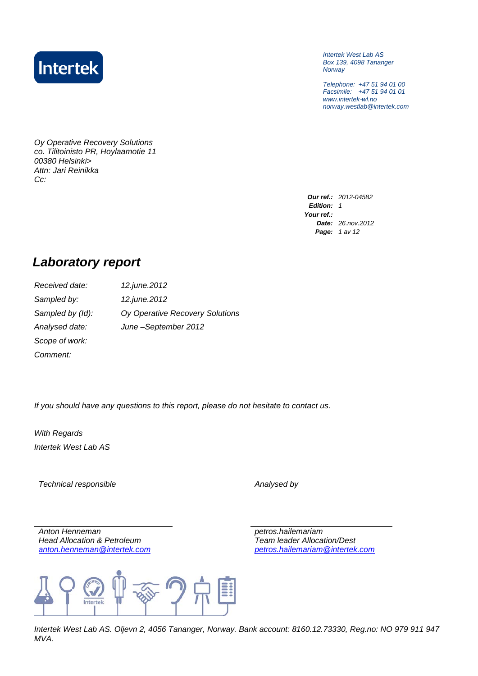

*Intertek West Lab AS Box 139, 4098 Tananger Norway*

*Telephone: +47 51 94 01 00 Facsimile: +47 51 94 01 01 www.intertek-wl.no norway.westlab@intertek.com*

*Oy Operative Recovery Solutions co. Tilitoinisto PR, Hoylaamotie 11 00380 Helsinki> Attn: Jari Reinikka Cc:*

> *Our ref.: 2012-04582 Edition: 1 Your ref.: Date: 26.nov.2012 Page: 1 av 12*

## *Laboratory report*

*Received date: 12.june.2012 Sampled by: 12.june.2012 Sampled by (Id): Oy Operative Recovery Solutions Analysed date: June –September 2012 Scope of work: Comment:*

*If you should have any questions to this report, please do not hesitate to contact us.*

*With Regards Intertek West Lab AS*

*Technical responsible Analysed by*

*Anton Henneman petros.hailemariam Head Allocation & Petroleum Team leader Allocation/Dest*

*[anton.henneman@intertek.com](mailto:anton.henneman@intertek.com) [petros.hailemariam@intertek.com](mailto:petros.hailemariam@intertek.com)*



*Intertek West Lab AS. Oljevn 2, 4056 Tananger, Norway. Bank account: 8160.12.73330, Reg.no: NO 979 911 947 MVA.*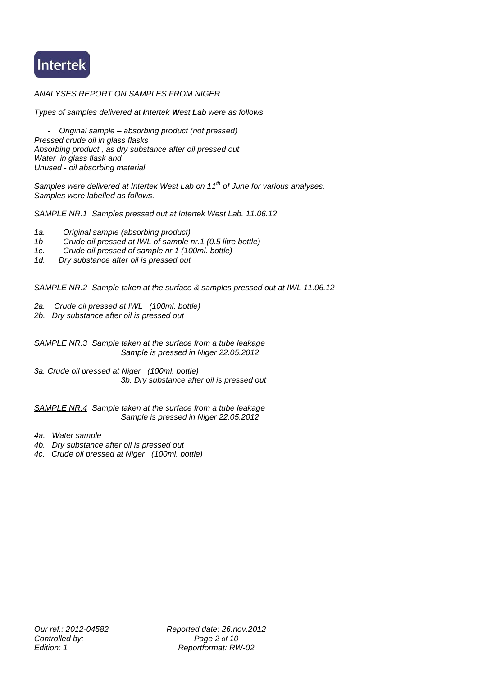

#### *ANALYSES REPORT ON SAMPLES FROM NIGER*

*Types of samples delivered at Intertek West Lab were as follows.*

 *- Original sample – absorbing product (not pressed) Pressed crude oil in glass flasks Absorbing product , as dry substance after oil pressed out Water in glass flask and Unused - oil absorbing material*

*Samples were delivered at Intertek West Lab on 11th of June for various analyses. Samples were labelled as follows.*

*SAMPLE NR.1 Samples pressed out at Intertek West Lab. 11.06.12*

- *1a. Original sample (absorbing product)*
- *1b Crude oil pressed at IWL of sample nr.1 (0.5 litre bottle)*
- *1c. Crude oil pressed of sample nr.1 (100ml. bottle)*
- *1d. Dry substance after oil is pressed out*

*SAMPLE NR.2 Sample taken at the surface & samples pressed out at IWL 11.06.12*

- *2a. Crude oil pressed at IWL (100ml. bottle)*
- *2b. Dry substance after oil is pressed out*

*SAMPLE NR.3 Sample taken at the surface from a tube leakage Sample is pressed in Niger 22.05.2012*

*3a. Crude oil pressed at Niger (100ml. bottle) 3b. Dry substance after oil is pressed out*

*SAMPLE NR.4 Sample taken at the surface from a tube leakage Sample is pressed in Niger 22.05.2012*

- *4a. Water sample*
- *4b. Dry substance after oil is pressed out*
- *4c. Crude oil pressed at Niger (100ml. bottle)*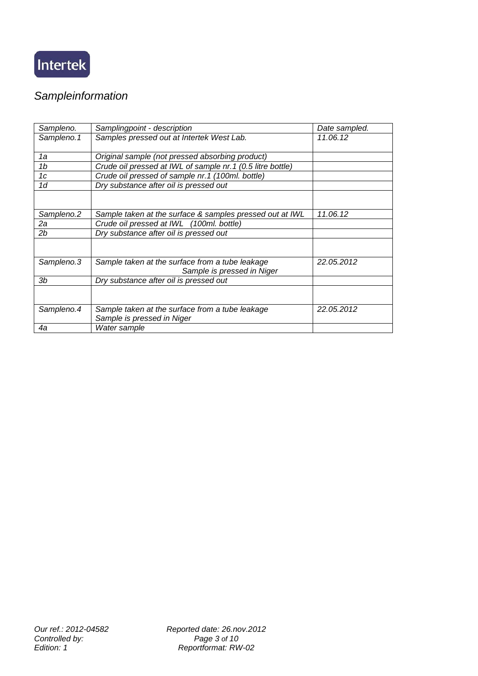

## *Sampleinformation*

| Sampleno.  | Samplingpoint - description                                                   | Date sampled. |
|------------|-------------------------------------------------------------------------------|---------------|
| Sampleno.1 | Samples pressed out at Intertek West Lab.                                     | 11.06.12      |
| 1a         | Original sample (not pressed absorbing product)                               |               |
| 1b         | Crude oil pressed at IWL of sample nr.1 (0.5 litre bottle)                    |               |
| 1c         | Crude oil pressed of sample nr.1 (100ml. bottle)                              |               |
| 1d         | Dry substance after oil is pressed out                                        |               |
|            |                                                                               |               |
| Sampleno.2 | Sample taken at the surface & samples pressed out at IWL                      | 11.06.12      |
| 2a         | Crude oil pressed at IWL (100ml. bottle)                                      |               |
| 2b         | Dry substance after oil is pressed out                                        |               |
|            |                                                                               |               |
| Sampleno.3 | Sample taken at the surface from a tube leakage<br>Sample is pressed in Niger | 22.05.2012    |
| Зb         | Dry substance after oil is pressed out                                        |               |
|            |                                                                               |               |
| Sampleno.4 | Sample taken at the surface from a tube leakage                               | 22.05.2012    |
|            | Sample is pressed in Niger                                                    |               |
| 4a         | Water sample                                                                  |               |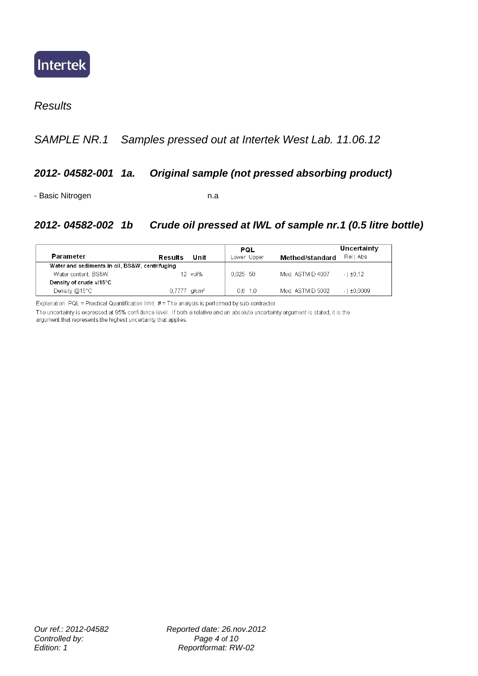

#### *Results*

## *SAMPLE NR.1 Samples pressed out at Intertek West Lab. 11.06.12*

#### *2012- 04582-001 1a. Original sample (not pressed absorbing product)*

- Basic Nitrogen n.a

#### *2012- 04582-002 1b Crude oil pressed at IWL of sample nr.1 (0.5 litre bottle)*

|                         |                                                |         | PQL         |                  | Uncertainty     |
|-------------------------|------------------------------------------------|---------|-------------|------------------|-----------------|
| Parameter               | Results                                        | Unit    | Lower Upper | Method/standard  | RellAbs         |
|                         | Water and sediments in oil, BS&W, centrifuging |         |             |                  |                 |
| Water content, BS&W     |                                                | 12 vol% | $0.025$ 50  | Mod. ASTM D 4007 | $-1 \pm 0.12$   |
| Density of crude v/15°C |                                                |         |             |                  |                 |
| Density $@15^{\circ}$ C | $0.7777$ g/cm <sup>3</sup>                     |         | $0.6$ 1.0   | Mod. ASTM D 5002 | $-1 \pm 0.0009$ |

Explanation: PQL = Practical Quantification limit. # = The analysis is performed by sub contractor.

The uncertainty is expressed at 95% confidence level. If both a relative and an absolute uncertainty argument is stated, it is the argument that represents the highest uncertainty that applies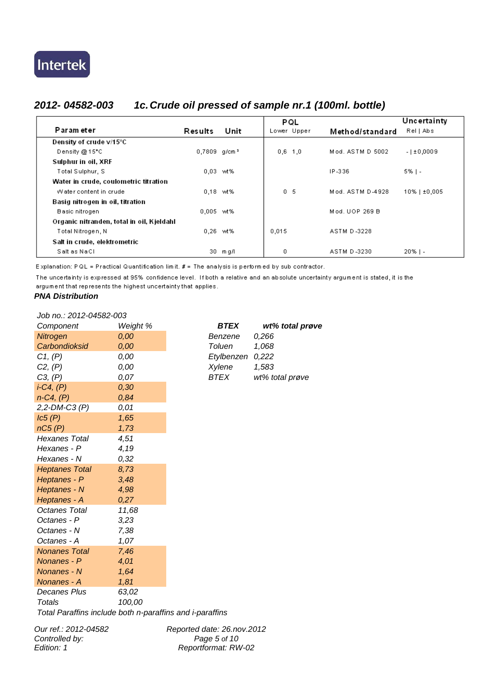## *2012- 04582-003 1c.Crude oil pressed of sample nr.1 (100ml. bottle)*

|                                           |                            |       | PQL            |                  | Uncertainty  |
|-------------------------------------------|----------------------------|-------|----------------|------------------|--------------|
| Param eter                                | Results                    | Unit  | Lower Upper    | Method/standard  | Rell Abs     |
| Density of crude v/15°C                   |                            |       |                |                  |              |
| Density @ 15"C                            | $0,7809$ g/cm <sup>3</sup> |       | $0,6$ 1.0      | Mod. ASTM D 5002 | $-1±0,0009$  |
| Sulphur in oil, XRF                       |                            |       |                |                  |              |
| Total Sulphur, S                          | $0.03$ wt%                 |       |                | IP-336           | $5\%$   -    |
| Water in crude, coulometric titration     |                            |       |                |                  |              |
| Water content in crude                    | $0,18$ wt%                 |       | 0 <sub>5</sub> | Mod. ASTM D-4928 | 10%   ±0,005 |
| Basig nitrogen in oil, titration          |                            |       |                |                  |              |
| Basic nitrogen                            | 0,005 wt%                  |       |                | Mod. UOP 269 B   |              |
| Organic nitranden, total in oil, Kjeldahl |                            |       |                |                  |              |
| Total Nitrogen, N                         | 0.26                       | wt%   | 0,015          | ASTM D-3228      |              |
| Salt in crude, elektrometric              |                            |       |                |                  |              |
| Salt as NaCl                              | 30.                        | m g/l | 0              | ASTM D-3230      | $20\%$   -   |

Explanation: PQL = Practical Quantification limit. # = The analysis is performed by sub contractor.

The uncertainty is expressed at 95% confidence level. If both a relative and an absolute uncertainty argument is stated, it is the argument that represents the highest uncertainty that applies.

#### *PNA Distribution*

*Job no.: 2012-04582-003*

| Component             | Weight % | <b>BTEX</b>   | wť    |
|-----------------------|----------|---------------|-------|
| <b>Nitrogen</b>       | 0,00     | Benzene       | 0,266 |
| Carbondioksid         | 0,00     | Toluen        | 1,068 |
| C1, (P)               | 0,00     | Etylbenzen    | 0,222 |
| C2, (P)               | 0,00     | <b>Xylene</b> | 1,583 |
| C3, (P)               | 0,07     | BTEX          | wt% t |
| $i$ -C4, $(P)$        | 0,30     |               |       |
| $n-C4, (P)$           | 0,84     |               |       |
| $2, 2$ -DM-C3 $(P)$   | 0,01     |               |       |
| lc5(P)                | 1,65     |               |       |
| nC5(P)                | 1,73     |               |       |
| Hexanes Total         | 4,51     |               |       |
| Hexanes - P           | 4,19     |               |       |
| Hexanes - N           | 0,32     |               |       |
| <b>Heptanes Total</b> | 8,73     |               |       |
| Heptanes - P          | 3,48     |               |       |
| Heptanes - N          | 4,98     |               |       |
| Heptanes - A          | 0,27     |               |       |
| Octanes Total         | 11,68    |               |       |
| Octanes - P           | 3,23     |               |       |
| Octanes - N           | 7,38     |               |       |
| Octanes - A           | 1,07     |               |       |
| <b>Nonanes Total</b>  | 7,46     |               |       |
| Nonanes - P           | 4,01     |               |       |
| Nonanes - N           | 1,64     |               |       |
| Nonanes - A           | 1,81     |               |       |
| Decanes Plus          | 63,02    |               |       |
| <b>Totals</b>         | 100,00   |               |       |
|                       |          |               |       |

*Component Weight % BTEX wt% total prøve Nitrogen 0,00 Benzene 0,266 Carbondioksid 0,00 Toluen 1,068 C1, (P) 0,00 Etylbenzen 0,222 C3, (P) 0,07 BTEX wt% total prøve*

*Total Paraffins include both n-paraffins and i-paraffins*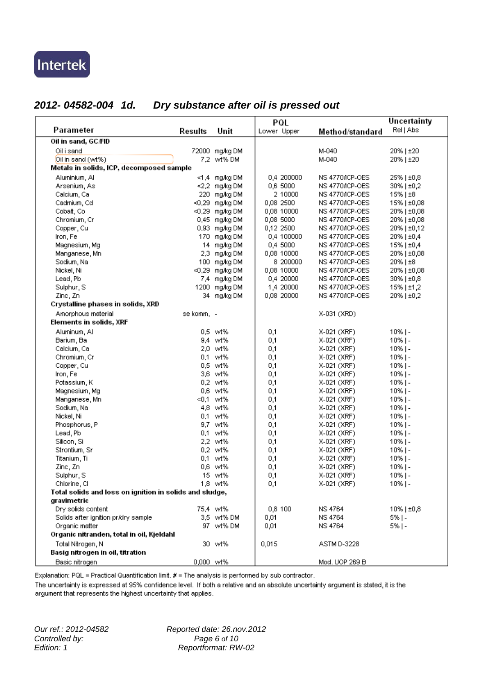## *2012- 04582-004 1d. Dry substance after oil is pressed out*

|                                                         |            |                | PQL         |                 | Uncertainty   |
|---------------------------------------------------------|------------|----------------|-------------|-----------------|---------------|
| Parameter                                               | Results    | Unit           | Lower Upper | Method/standard | Rel   Abs     |
| Oil in sand, GC/FID                                     |            |                |             |                 |               |
| Oil i sand                                              |            | 72000 mg/kg DM |             | M-040           | 20%   ±20     |
| Oil in sand (wt%)                                       |            | 7,2 wt% DM     |             | M-040           | 20%   ±20     |
| Metals in solids, ICP, decomposed sample                |            |                |             |                 |               |
| Aluminium, Al                                           |            | <1,4 mg/kg DM  | 0,4 200000  | NS 4770/ICP-OES | 25%   ±0,8    |
| Arsenium, As                                            |            | <2,2 mg/kg DM  | 0,6 5000    | NS 4770/ICP-OES | 30%   ±0,2    |
| Calcium, Ca                                             |            | 220 mg/kg DM   | 2 10000     | NS 4770/ICP-OES | 15%   ±8      |
| Cadmium, Cd                                             |            | <0,29 mg/kg DM | 0,08 2500   | NS 4770/ICP-OES | 15%   ±0,08   |
| Cobalt, Co                                              |            | <0,29 mg/kg DM | 0.08 10000  | NS 4770/ICP-OES | 20%   ±0,08   |
| Chromium, Cr                                            |            | 0,45 mg/kg DM  | 0,08 5000   | NS 4770/ICP-OES | 20%   ±0,08   |
| Copper, Cu                                              |            | 0,93 mg/kg DM  | 0,12 2500   | NS 4770/ICP-OES | 20%   ±0,12   |
| Iron, Fe                                                |            | 170 mg/kg DM   | 0,4 100000  | NS 4770/ICP-OES | 20%   ±0,4    |
| Magnesium, Mg                                           |            | 14 mg/kg DM    | 0,4 5000    | NS 4770/ICP-OES | 15%   ±0,4    |
| Manganese, Mn                                           |            | 2,3 mg/kg DM   | 0,08 10000  | NS 4770/ICP-OES | 20%   ±0,08   |
| Sodium, Na                                              |            | 100 mg/kg DM   | 8 200000    | NS 4770/ICP-OES | 20%   ±8      |
| Nickel, Ni                                              |            | <0,29 mg/kg DM | 0,08 10000  | NS 4770/ICP-OES | 20%   ±0,08   |
| Lead, Pb                                                |            | 7,4 mg/kg DM   | 0,4 20000   | NS 4770/ICP-OES | 30%   ±0,8    |
| Sulphur, S                                              |            | 1200 mg/kg DM  | 1,4 20000   | NS 4770/ICP-OES | $15\%$   ±1,2 |
| Zinc, Zn                                                |            | 34 mg/kg DM    | 0,08 20000  | NS 4770/ICP-OES | 20%   ±0,2    |
| Crystalline phases in solids, XRD                       |            |                |             |                 |               |
| Amorphous material                                      | se komm, - |                |             | X-031 (XRD)     |               |
| Elements in solids, XRF                                 |            |                |             |                 |               |
| Aluminum, Al                                            |            | 0.5 wt%        | 0,1         | X-021 (XRF)     | $10%$ ] -     |
| Barium, Ba                                              |            | 9.4 wt%        | 0,1         | X-021 (XRF)     | $10%$ ] -     |
| Calcium, Ca                                             |            | 2,0 wt%        | 0,1         | X-021 (XRF)     | $10%$ ] -     |
| Chromium, Cr.                                           |            | 0,1 wt%        | 0,1         | X-021 (XRF)     | $10%$ ] -     |
| Copper, Cu                                              |            | 0,5 wt%        | 0,1         | X-021 (XRF)     | $10%$ ] -     |
| Iron, Fe                                                |            | 3,6 wt%        | 0,1         | X-021 (XRF)     | $10%$ ] -     |
| Potassium, K                                            |            | 0,2 wt%        | 0,1         | X-021 (XRF)     | $10%$ ] -     |
| Magnesium, Mg                                           |            | 0,6 wt%        | 0,1         | X-021 (XRF)     | $10%$ ] -     |
| Manganese, Mn                                           |            | <0,1 wt%       | 0,1         | X-021 (XRF)     | $10%$ ] -     |
| Sodium, Na                                              |            | 4,8 wt%        | 0,1         | X-021 (XRF)     | $10%$ ] -     |
| Nickel, Ni                                              |            | 0,1 wt%        | 0,1         | X-021 (XRF)     | $10%$ ] -     |
| Phosphorus, P                                           |            | 9,7 wt%        | 0,1         | X-021 (XRF)     | $10%$ ] -     |
| Lead, Pb                                                |            | 0,1 wt%        | 0,1         | X-021 (XRF)     | $10%$ ] -     |
| Silicon, Si                                             |            | 2,2 wt%        | 0,1         | X-021 (XRF)     | $10%$ ] -     |
| Strontium, Sr                                           |            | 0,2 wt%        | 0,1         | X-021 (XRF)     | $10%$ ] -     |
| Titanium, Ti                                            |            | 0,1 wt%        | 0,1         | X-021 (XRF)     | $10%$ ] -     |
| Zinc, Zn                                                |            | 0.6 wt%        | 0,1         | X-021 (XRF)     | $10%$ ] -     |
| Sulphur, S                                              |            | 15 wt%         | 0,1         | X-021 (XRF)     | $10%$ ] -     |
| Chlorine, Cl                                            |            | 1,8 wt%        | 0,1         | X-021 (XRF)     | $10%$ ] -     |
| Total solids and loss on ignition in solids and sludge, |            |                |             |                 |               |
| gravimetric                                             |            |                |             |                 |               |
| Dry solids content                                      |            | 75,4 wt%       | 0,8 100     | <b>NS 4764</b>  | $10\%$   ±0.8 |
| Solids after ignition pr/dry sample                     |            | 3,5 wt% DM     | 0,01        | <b>NS 4764</b>  | $5%$   -      |
| Organic matter                                          |            | 97 wt% DM      | 0,01        | <b>NS 4764</b>  | $5%$   -      |
| Organic nitranden, total in oil, Kjeldahl               |            |                |             |                 |               |
| Total Nitrogen, N                                       |            | 30 wt%         | 0,015       | ASTM D-3228     |               |
| Basig nitrogen in oil, titration                        |            |                |             |                 |               |
| Basic nitrogen                                          | 0,000 wt%  |                |             | Mod. UOP 269 B  |               |

Explanation: PQL = Practical Quantification limit. # = The analysis is performed by sub contractor.

The uncertainty is expressed at 95% confidence level. If both a relative and an absolute uncertainty argument is stated, it is the argument that represents the highest uncertainty that applies.

*Controlled by:*<br>*Edition: 1*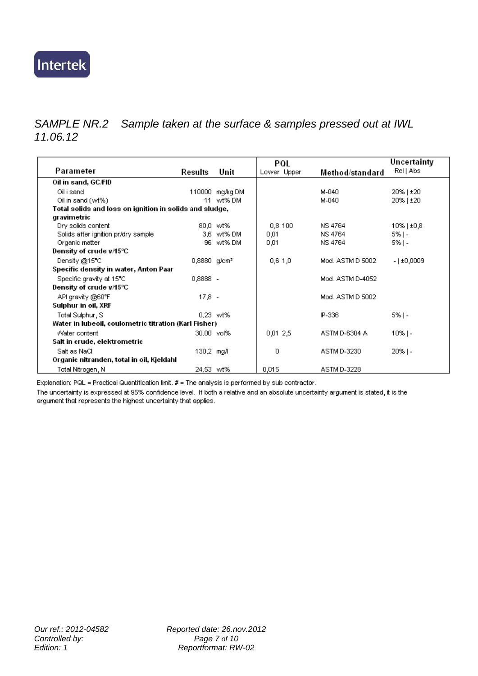## *SAMPLE NR.2 Sample taken at the surface & samples pressed out at IWL 11.06.12*

|                                                         |                            |                 | PQL         |                  | Uncertainty   |
|---------------------------------------------------------|----------------------------|-----------------|-------------|------------------|---------------|
| Parameter                                               | Results                    | Unit            | Lower Upper | Method/standard  | Rel   Abs     |
| Oil in sand, GC/FID                                     |                            |                 |             |                  |               |
| Oil i sand                                              |                            | 110000 mg/kg DM |             | M-040            | 20%   ±20     |
| Oil in sand (wt%)                                       | 11.                        | wt% DM          |             | M-040            | 20%   ±20     |
| Total solids and loss on ignition in solids and sludge, |                            |                 |             |                  |               |
| gravimetric                                             |                            |                 |             |                  |               |
| Dry solids content                                      |                            | 80.0 wt%        | 0,8 100     | <b>NS 4764</b>   | $10\%$   ±0.8 |
| Solids after ignition pr/dry sample                     |                            | 3,6 wt% DM      | 0,01        | <b>NS 4764</b>   | 5%   -        |
| Organic matter                                          |                            | 96 wt% DM       | 0,01        | <b>NS 4764</b>   | 5%   -        |
| Density of crude v/15℃                                  |                            |                 |             |                  |               |
| Density @15°C                                           | $0,8880$ g/cm <sup>3</sup> |                 | 0,6,1,0     | Mod. ASTM D 5002 | $-1±0,0009$   |
| Specific density in water, Anton Paar                   |                            |                 |             |                  |               |
| Specific gravity at 15°C                                | 0,8888 -                   |                 |             | Mod. ASTM D-4052 |               |
| Density of crude v/15℃                                  |                            |                 |             |                  |               |
| API gravity @60°F                                       | $17.8 -$                   |                 |             | Mod. ASTM D 5002 |               |
| Sulphur in oil, XRF                                     |                            |                 |             |                  |               |
| Total Sulphur, S                                        |                            | 0.23 wt%        |             | IP-336           | $5%$   -      |
| Water in Iubeoil, coulometric titration (Karl Fisher)   |                            |                 |             |                  |               |
| Water content                                           | 30,00 vol%                 |                 | 0,01,2,5    | ASTM D-6304 A    | $10\%$   -    |
| Salt in crude, elektrometric                            |                            |                 |             |                  |               |
| Salt as NaCl                                            | 130,2 mg/l                 |                 | 0           | ASTM D-3230      | $20\%$   -    |
| Organic nitranden, total in oil, Kjeldahl               |                            |                 |             |                  |               |
| Total Nitrogen, N                                       | 24.53 wt%                  |                 | 0.015       | ASTM D-3228      |               |

Explanation: PQL = Practical Quantification limit. # = The analysis is performed by sub contractor.

The uncertainty is expressed at 95% confidence level. If both a relative and an absolute uncertainty argument is stated, it is the argument that represents the highest uncertainty that applies.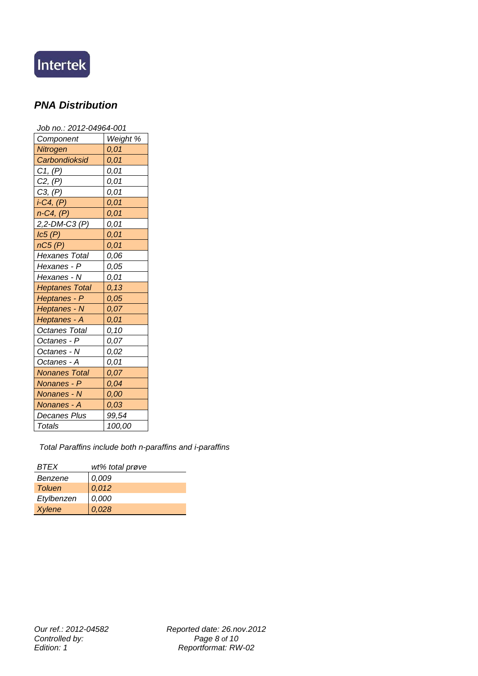

## *PNA Distribution*

| Job no.: 2012-04964-001 |          |  |  |  |  |  |
|-------------------------|----------|--|--|--|--|--|
| Component               | Weight % |  |  |  |  |  |
| Nitrogen                | 0,01     |  |  |  |  |  |
| Carbondioksid           | 0,01     |  |  |  |  |  |
| C1, (P)                 | 0,01     |  |  |  |  |  |
| C2, (P)                 | 0,01     |  |  |  |  |  |
| C3, (P)                 | 0,01     |  |  |  |  |  |
| $i$ -C4, $(P)$          | 0,01     |  |  |  |  |  |
| $n-C4$ , $(P)$          | 0,01     |  |  |  |  |  |
| 2,2-DM-C3 (P)           | 0,01     |  |  |  |  |  |
| lc5(P)                  | 0,01     |  |  |  |  |  |
| nC5(P)                  | 0,01     |  |  |  |  |  |
| <b>Hexanes Total</b>    | 0,06     |  |  |  |  |  |
| Hexanes - P             | 0,05     |  |  |  |  |  |
| Hexanes - N             | 0,01     |  |  |  |  |  |
| <b>Heptanes Total</b>   | 0, 13    |  |  |  |  |  |
| Heptanes - P            | 0,05     |  |  |  |  |  |
| Heptanes - N            | 0,07     |  |  |  |  |  |
| Heptanes - A            | 0,01     |  |  |  |  |  |
| <b>Octanes Total</b>    | 0,10     |  |  |  |  |  |
| Octanes - P             | 0,07     |  |  |  |  |  |
| Octanes - N             | 0,02     |  |  |  |  |  |
| Octanes - A             | 0,01     |  |  |  |  |  |
| <b>Nonanes Total</b>    | 0,07     |  |  |  |  |  |
| Nonanes - P             | 0,04     |  |  |  |  |  |
| Nonanes - N             | 0,00     |  |  |  |  |  |
| Nonanes - A             | 0,03     |  |  |  |  |  |
| Decanes Plus            | 99,54    |  |  |  |  |  |
| <b>Totals</b>           | 100,00   |  |  |  |  |  |

*Total Paraffins include both n-paraffins and i-paraffins*

| <i><b>RTFX</b></i> | wt% total prøve |  |  |  |
|--------------------|-----------------|--|--|--|
| Benzene            | 0,009           |  |  |  |
| <b>Toluen</b>      | 0,012           |  |  |  |
| Etylbenzen         | 0,000           |  |  |  |
| <b>Xylene</b>      | 0.028           |  |  |  |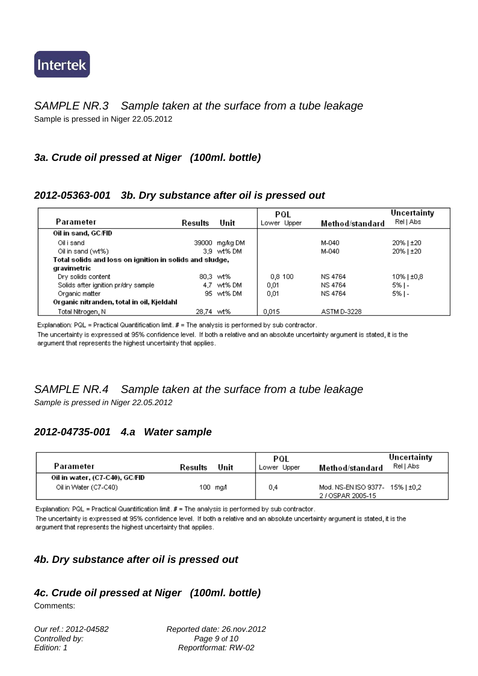

#### *SAMPLE NR.3 Sample taken at the surface from a tube leakage* Sample is pressed in Niger 22.05.2012

### *3a. Crude oil pressed at Niger (100ml. bottle)*

#### *2012-05363-001 3b. Dry substance after oil is pressed out*

|                                           |                                                         |                | PQL         |                 | Uncertainty   |
|-------------------------------------------|---------------------------------------------------------|----------------|-------------|-----------------|---------------|
| Parameter                                 | Results                                                 | Unit           | Lower Upper | Method/standard | Rel   Abs     |
| Oil in sand, GC/FID                       |                                                         |                |             |                 |               |
| Oil i sand                                |                                                         | 39000 mg/kg DM |             | M-040           | 20%   ±20     |
| Oil in sand (wt%)                         |                                                         | 3.9 wt% DM     |             | M-040           | 20%   ±20     |
|                                           | Total solids and loss on ignition in solids and sludge, |                |             |                 |               |
| gravimetric                               |                                                         |                |             |                 |               |
| Dry solids content                        |                                                         | 80.3 wt%       | 0.8 100     | <b>NS 4764</b>  | $10\%$   ±0.8 |
| Solids after ignition pr/dry sample       |                                                         | 4.7 wt% DM     | 0.01        | <b>NS 4764</b>  | 5%   -        |
| Organic matter                            |                                                         | 95 wt% DM      | 0.01        | <b>NS 4764</b>  | 5%   -        |
| Organic nitranden, total in oil, Kjeldahl |                                                         |                |             |                 |               |
| Total Nitrogen, N                         | 28.74 wt%                                               |                | 0.015       | ASTM D-3228     |               |

Explanation: PQL = Practical Quantification limit.  $#$  = The analysis is performed by sub contractor.

The uncertainty is expressed at 95% confidence level. If both a relative and an absolute uncertainty argument is stated, it is the argument that represents the highest uncertainty that applies.

# *SAMPLE NR.4 Sample taken at the surface from a tube leakage*

*Sample is pressed in Niger 22.05.2012*

## *2012-04735-001 4.a Water sample*

argument that represents the highest uncertainty that applies.

| Parameter                      | Results | Unit    | PQL<br>Lower Upper | Method/standard                 | Uncertainty<br>Rell Abs |
|--------------------------------|---------|---------|--------------------|---------------------------------|-------------------------|
| Oil in water, (C7-C40), GC/FID |         |         |                    |                                 |                         |
| Oil in Water (C7-C40)          |         | 100 maA | 0.4                | Mod. NS-EN ISO 9377- 15%   ±0,2 |                         |
|                                |         |         |                    | 2 / OSPAR 2005-15               |                         |

Explanation: PQL = Practical Quantification limit.  $#$  = The analysis is performed by sub contractor. The uncertainty is expressed at 95% confidence level. If both a relative and an absolute uncertainty argument is stated, it is the

## *4b. Dry substance after oil is pressed out*

## *4c. Crude oil pressed at Niger (100ml. bottle)*

Comments:

*Our ref.: 2012-04582 Reported date: 26.nov.2012 Controlled by: Page 9 of 10 Edition: 1 Reportformat: RW-02*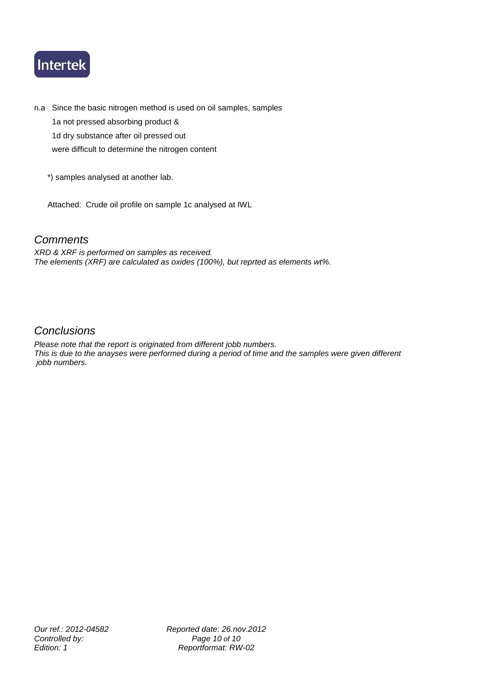

n.a Since the basic nitrogen method is used on oil samples, samples 1a not pressed absorbing product & 1d dry substance after oil pressed out

were difficult to determine the nitrogen content

\*) samples analysed at another lab.

Attached: Crude oil profile on sample 1c analysed at IWL

#### *Comments*

*XRD & XRF is performed on samples as received. The elements (XRF) are calculated as oxides (100%), but reprted as elements wt%.*

#### *Conclusions*

*Please note that the report is originated from different jobb numbers. This is due to the anayses were performed during a period of time and the samples were given different jobb numbers.*

*Our ref.: 2012-04582 Reported date: 26.nov.2012 Controlled by:* Page 10 of 10<br> *Edition:* 1 *Controlled by:* Peportformat: RW *Edition: 1 Reportformat: RW-02*